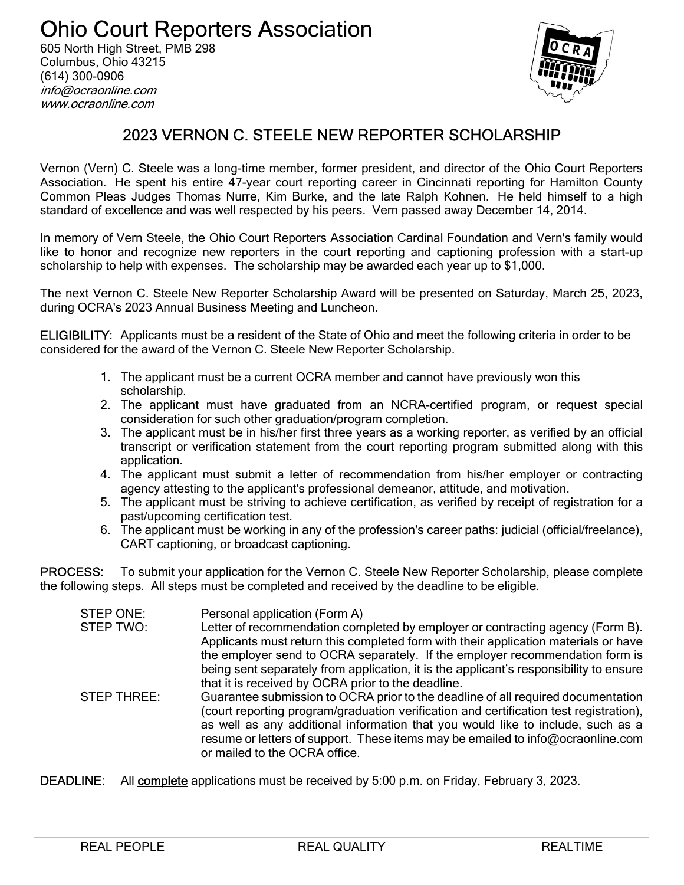

# 2023 VERNON C. STEELE NEW REPORTER SCHOLARSHIP

Vernon (Vern) C. Steele was a long-time member, former president, and director of the Ohio Court Reporters Association. He spent his entire 47-year court reporting career in Cincinnati reporting for Hamilton County Common Pleas Judges Thomas Nurre, Kim Burke, and the late Ralph Kohnen. He held himself to a high standard of excellence and was well respected by his peers. Vern passed away December 14, 2014.

In memory of Vern Steele, the Ohio Court Reporters Association Cardinal Foundation and Vern's family would like to honor and recognize new reporters in the court reporting and captioning profession with a start-up scholarship to help with expenses. The scholarship may be awarded each year up to \$1,000.

The next Vernon C. Steele New Reporter Scholarship Award will be presented on Saturday, March 25, 2023, during OCRA's 2023 Annual Business Meeting and Luncheon.

ELIGIBILITY: Applicants must be a resident of the State of Ohio and meet the following criteria in order to be considered for the award of the Vernon C. Steele New Reporter Scholarship.

- 1. The applicant must be a current OCRA member and cannot have previously won this scholarship.
- 2. The applicant must have graduated from an NCRA-certified program, or request special consideration for such other graduation/program completion.
- 3. The applicant must be in his/her first three years as a working reporter, as verified by an official transcript or verification statement from the court reporting program submitted along with this application.
- 4. The applicant must submit a letter of recommendation from his/her employer or contracting agency attesting to the applicant's professional demeanor, attitude, and motivation.
- 5. The applicant must be striving to achieve certification, as verified by receipt of registration for a past/upcoming certification test.
- 6. The applicant must be working in any of the profession's career paths: judicial (official/freelance), CART captioning, or broadcast captioning.

PROCESS: To submit your application for the Vernon C. Steele New Reporter Scholarship, please complete the following steps. All steps must be completed and received by the deadline to be eligible.

| STEP ONE:<br>STEP TWO: | Personal application (Form A)<br>Letter of recommendation completed by employer or contracting agency (Form B).<br>Applicants must return this completed form with their application materials or have                                                                                                                                                                            |
|------------------------|-----------------------------------------------------------------------------------------------------------------------------------------------------------------------------------------------------------------------------------------------------------------------------------------------------------------------------------------------------------------------------------|
|                        | the employer send to OCRA separately. If the employer recommendation form is<br>being sent separately from application, it is the applicant's responsibility to ensure<br>that it is received by OCRA prior to the deadline.                                                                                                                                                      |
| STEP THREE:            | Guarantee submission to OCRA prior to the deadline of all required documentation<br>(court reporting program/graduation verification and certification test registration),<br>as well as any additional information that you would like to include, such as a<br>resume or letters of support. These items may be emailed to info@ocraonline.com<br>or mailed to the OCRA office. |

DEADLINE: All complete applications must be received by 5:00 p.m. on Friday, February 3, 2023.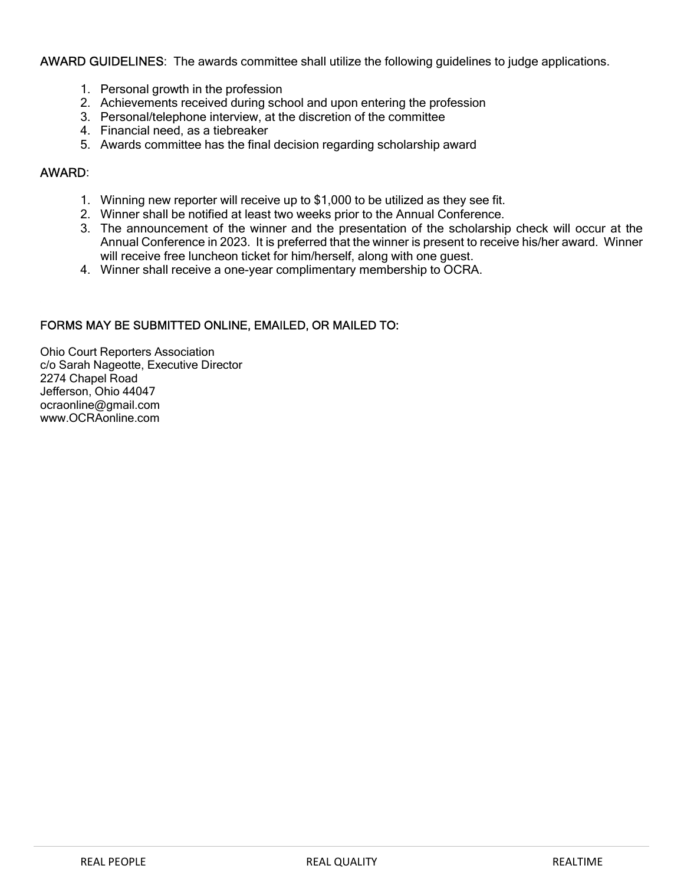#### AWARD GUIDELINES: The awards committee shall utilize the following guidelines to judge applications.

- 1. Personal growth in the profession
- 2. Achievements received during school and upon entering the profession
- 3. Personal/telephone interview, at the discretion of the committee
- 4. Financial need, as a tiebreaker
- 5. Awards committee has the final decision regarding scholarship award

#### AWARD:

- 1. Winning new reporter will receive up to \$1,000 to be utilized as they see fit.
- 2. Winner shall be notified at least two weeks prior to the Annual Conference.
- 3. The announcement of the winner and the presentation of the scholarship check will occur at the Annual Conference in 2023. It is preferred that the winner is present to receive his/her award. Winner will receive free luncheon ticket for him/herself, along with one guest.
- 4. Winner shall receive a one-year complimentary membership to OCRA.

### FORMS MAY BE SUBMITTED ONLINE, EMAILED, OR MAILED TO:

Ohio Court Reporters Association c/o Sarah Nageotte, Executive Director 2274 Chapel Road Jefferson, Ohio 44047 ocraonline@gmail.com www.OCRAonline.com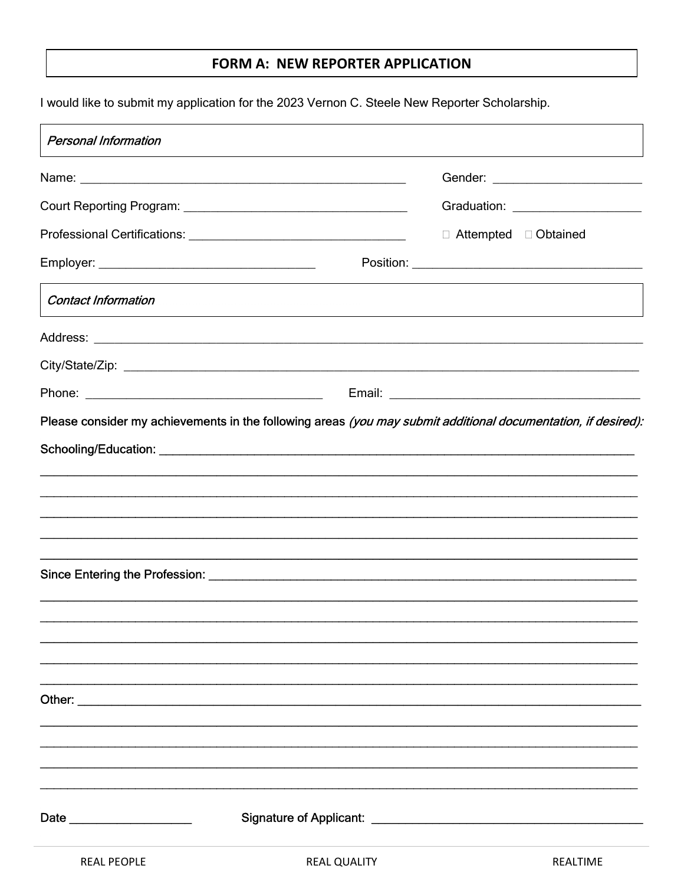## FORM A: NEW REPORTER APPLICATION

I would like to submit my application for the 2023 Vernon C. Steele New Reporter Scholarship.

| <b>Personal Information</b>   |                     |                                   |
|-------------------------------|---------------------|-----------------------------------|
|                               |                     | Gender: ________________________  |
|                               |                     | Graduation: _____________________ |
|                               |                     | □ Attempted □ Obtained            |
|                               |                     |                                   |
| <b>Contact Information</b>    |                     |                                   |
|                               |                     |                                   |
|                               |                     |                                   |
|                               |                     |                                   |
|                               |                     |                                   |
|                               |                     |                                   |
| Date ________________________ |                     |                                   |
| <b>REAL PEOPLE</b>            | <b>REAL QUALITY</b> | <b>REALTIME</b>                   |